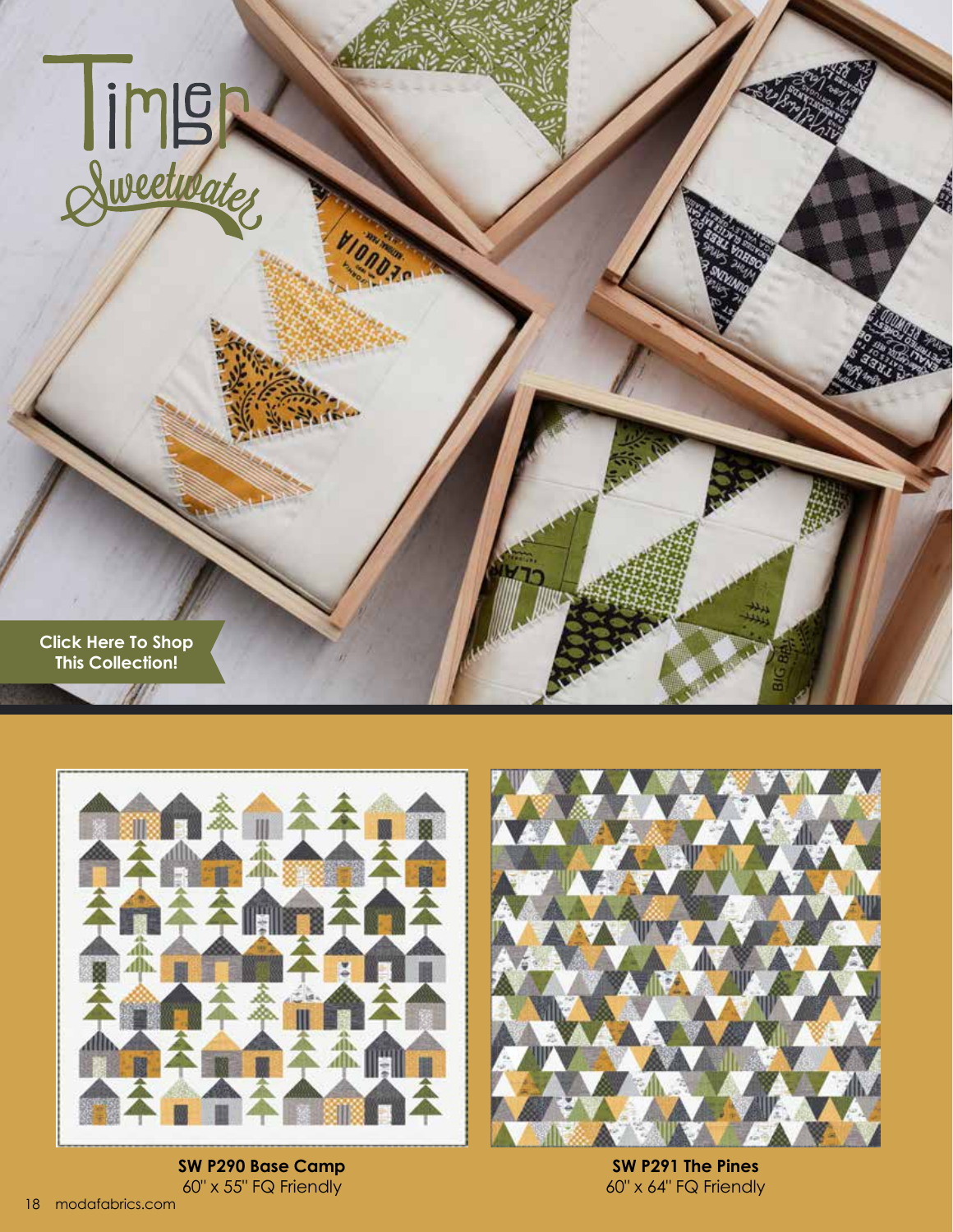



**SW P290 Base Camp** 60" x 55" FQ Friendly



**SW P291 The Pines** 60" x 64" FQ Friendly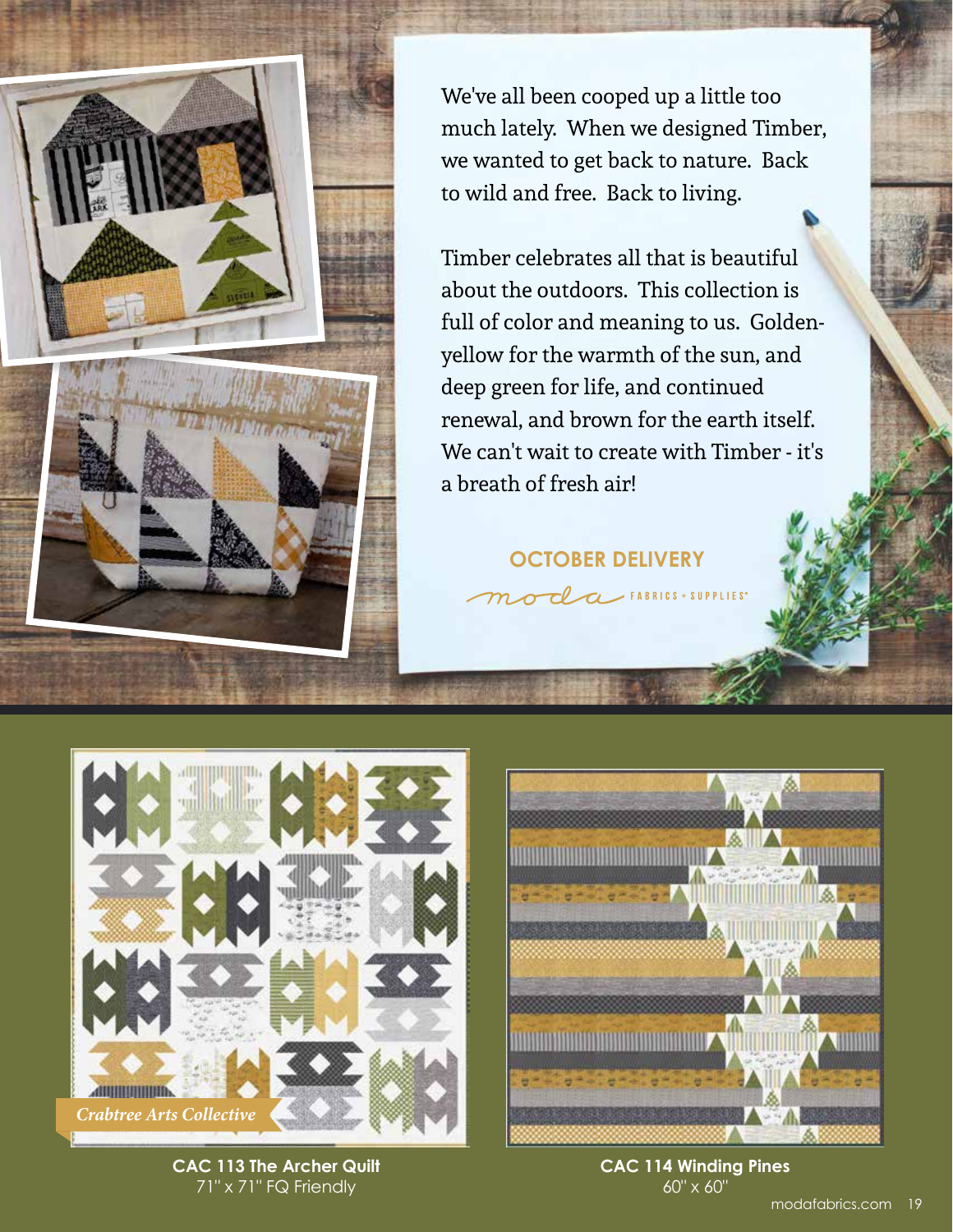

We've all been cooped up a little too much lately. When we designed Timber, we wanted to get back to nature. Back to wild and free. Back to living.

Timber celebrates all that is beautiful about the outdoors. This collection is full of color and meaning to us. Goldenyellow for the warmth of the sun, and deep green for life, and continued renewal, and brown for the earth itself. We can't wait to create with Timber - it's a breath of fresh air!

**OCTOBER DELIVERY**

 $\sim$ FABRICS + SUPPLIES<sup>®</sup>





**CAC 113 The Archer Quilt** 71" x 71" FQ Friendly

**CAC 114 Winding Pines** 60" x 60"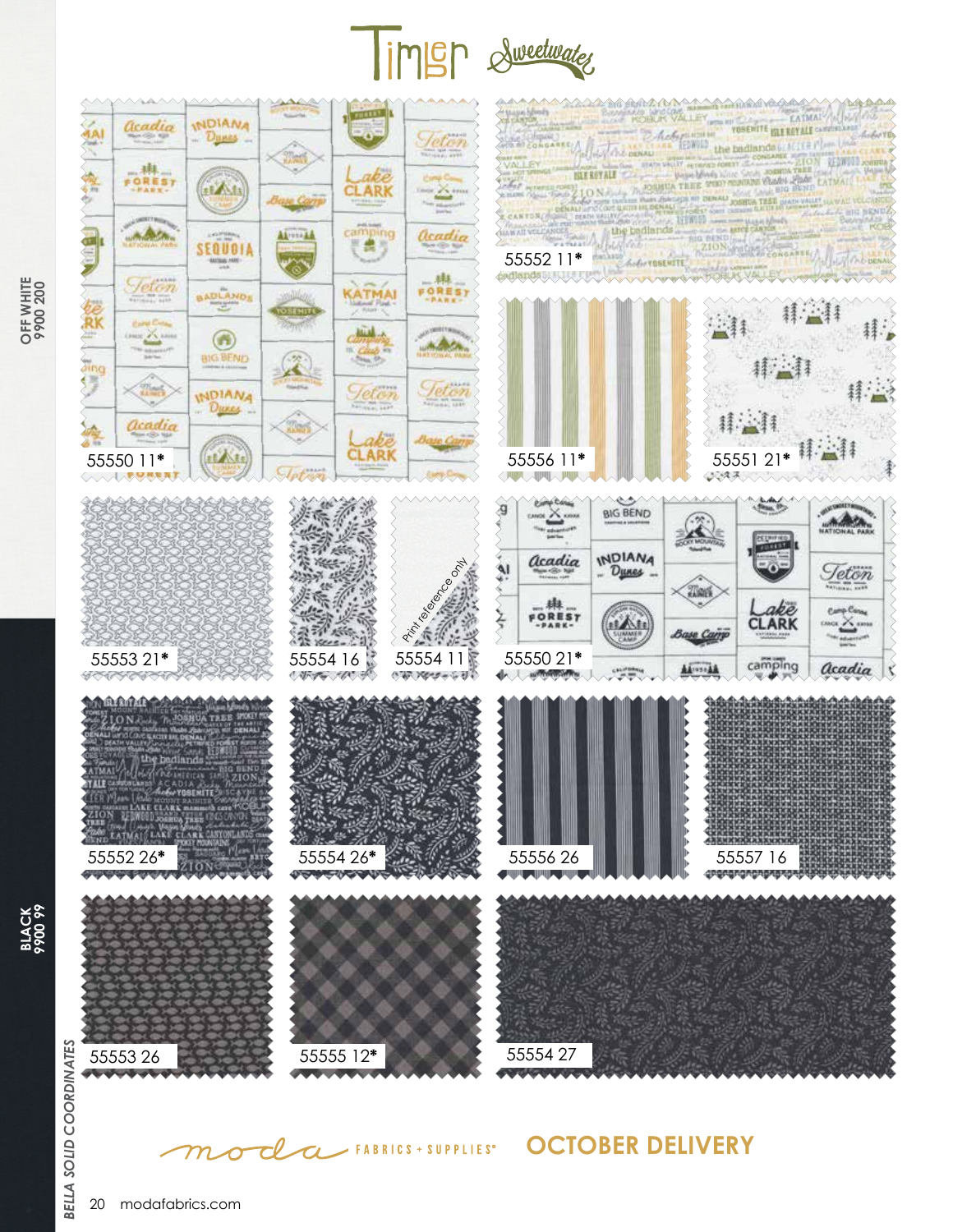

Teton

**Home Co.** 

 $\frac{1}{\sqrt{2}}\sum_{i=1}^{n}e^{i\omega_{i}t}$ 

acadia

 $H<sub>2</sub>$ 

**FOREST** 

**MARCA** 

Teton

1 scientil

abe

**CLARK** 

camping<br> **E** 

KATMA

**Club**<br>Club

*<u>Jeton</u>* 

**Service** 

Tair<sup>2</sup>

AA .... FE

**INDIANA** 

Dunas

**it Att** 

SEQUOIA **OUTRIE NAY** 

BADLANDS

 $\bigcirc$ 

**BIG BEND** 

**INDIANA** Dunes ... 55552 11\*









**OCTOBER DELIVERY**





CLCL FABRICS + SUPPLIES®

鬼

anda

ŔK

iing<br>Ling

6

acadia

車

FOREST

**Adole** 

**Teton** 

**Cong Co.** 

z.

 $\frac{1}{2}$ 

acadia